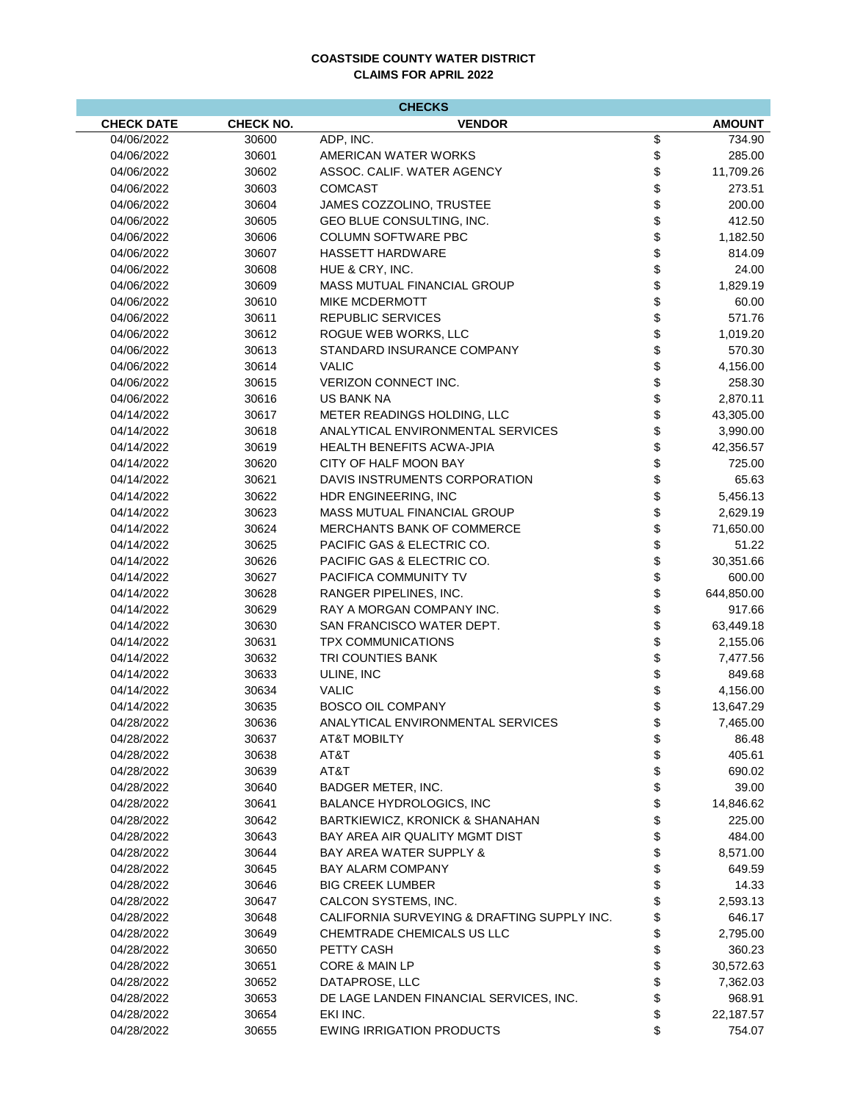## **COASTSIDE COUNTY WATER DISTRICT CLAIMS FOR APRIL 2022**

| <b>CHECKS</b>     |                  |                                                                           |          |               |  |  |  |
|-------------------|------------------|---------------------------------------------------------------------------|----------|---------------|--|--|--|
| <b>CHECK DATE</b> | <b>CHECK NO.</b> | <b>VENDOR</b>                                                             |          | <b>AMOUNT</b> |  |  |  |
| 04/06/2022        | 30600            | ADP, INC.                                                                 | \$       | 734.90        |  |  |  |
| 04/06/2022        | 30601            | AMERICAN WATER WORKS                                                      | \$       | 285.00        |  |  |  |
| 04/06/2022        | 30602            | ASSOC, CALIF, WATER AGENCY                                                | \$       | 11,709.26     |  |  |  |
| 04/06/2022        | 30603            | <b>COMCAST</b>                                                            | \$       | 273.51        |  |  |  |
| 04/06/2022        | 30604            | JAMES COZZOLINO, TRUSTEE                                                  | \$       | 200.00        |  |  |  |
| 04/06/2022        | 30605            | GEO BLUE CONSULTING, INC.                                                 | \$       | 412.50        |  |  |  |
| 04/06/2022        | 30606            | <b>COLUMN SOFTWARE PBC</b>                                                | \$       | 1,182.50      |  |  |  |
| 04/06/2022        | 30607            | <b>HASSETT HARDWARE</b>                                                   | \$       | 814.09        |  |  |  |
| 04/06/2022        | 30608            | HUE & CRY, INC.                                                           | \$       | 24.00         |  |  |  |
| 04/06/2022        | 30609            | MASS MUTUAL FINANCIAL GROUP                                               | \$       | 1,829.19      |  |  |  |
| 04/06/2022        | 30610            | <b>MIKE MCDERMOTT</b>                                                     | \$       | 60.00         |  |  |  |
| 04/06/2022        | 30611            | <b>REPUBLIC SERVICES</b>                                                  | \$       | 571.76        |  |  |  |
| 04/06/2022        | 30612            | ROGUE WEB WORKS, LLC                                                      | \$       | 1,019.20      |  |  |  |
| 04/06/2022        | 30613            | STANDARD INSURANCE COMPANY                                                | \$       | 570.30        |  |  |  |
| 04/06/2022        | 30614            | <b>VALIC</b>                                                              | \$       | 4,156.00      |  |  |  |
| 04/06/2022        | 30615            | VERIZON CONNECT INC.                                                      | \$       | 258.30        |  |  |  |
| 04/06/2022        | 30616            | <b>US BANK NA</b>                                                         | \$       | 2,870.11      |  |  |  |
| 04/14/2022        | 30617            | METER READINGS HOLDING, LLC                                               | \$       | 43,305.00     |  |  |  |
| 04/14/2022        | 30618            | ANALYTICAL ENVIRONMENTAL SERVICES                                         | \$       | 3,990.00      |  |  |  |
| 04/14/2022        | 30619            | <b>HEALTH BENEFITS ACWA-JPIA</b>                                          | \$       | 42,356.57     |  |  |  |
| 04/14/2022        | 30620            | CITY OF HALF MOON BAY                                                     | \$       | 725.00        |  |  |  |
| 04/14/2022        | 30621            | DAVIS INSTRUMENTS CORPORATION                                             | \$       | 65.63         |  |  |  |
| 04/14/2022        | 30622            | HDR ENGINEERING, INC                                                      | \$       | 5,456.13      |  |  |  |
| 04/14/2022        | 30623            | MASS MUTUAL FINANCIAL GROUP                                               | \$       | 2,629.19      |  |  |  |
| 04/14/2022        | 30624            | MERCHANTS BANK OF COMMERCE                                                | \$       | 71,650.00     |  |  |  |
| 04/14/2022        | 30625            | PACIFIC GAS & ELECTRIC CO.                                                | \$       | 51.22         |  |  |  |
| 04/14/2022        | 30626            | PACIFIC GAS & ELECTRIC CO.                                                | \$       | 30,351.66     |  |  |  |
| 04/14/2022        | 30627            | PACIFICA COMMUNITY TV                                                     | \$       | 600.00        |  |  |  |
| 04/14/2022        | 30628            | RANGER PIPELINES, INC.                                                    | \$       | 644,850.00    |  |  |  |
| 04/14/2022        | 30629            | RAY A MORGAN COMPANY INC.                                                 | \$       | 917.66        |  |  |  |
| 04/14/2022        | 30630            | SAN FRANCISCO WATER DEPT.                                                 | \$       | 63,449.18     |  |  |  |
| 04/14/2022        | 30631            | <b>TPX COMMUNICATIONS</b>                                                 | \$       | 2,155.06      |  |  |  |
| 04/14/2022        | 30632            | TRI COUNTIES BANK                                                         | \$       | 7,477.56      |  |  |  |
| 04/14/2022        | 30633            | ULINE, INC                                                                | \$       | 849.68        |  |  |  |
| 04/14/2022        | 30634            | <b>VALIC</b>                                                              | \$       | 4,156.00      |  |  |  |
| 04/14/2022        | 30635            | <b>BOSCO OIL COMPANY</b>                                                  | \$       | 13,647.29     |  |  |  |
| 04/28/2022        | 30636            | ANALYTICAL ENVIRONMENTAL SERVICES                                         |          | 7,465.00      |  |  |  |
| 04/28/2022        | 30637            | AT&T MOBILTY                                                              | \$       | 86.48         |  |  |  |
| 04/28/2022        | 30638            | AT&T                                                                      | \$       | 405.61        |  |  |  |
| 04/28/2022        | 30639            | AT&T                                                                      | \$       | 690.02        |  |  |  |
| 04/28/2022        | 30640            | BADGER METER, INC.                                                        | \$       | 39.00         |  |  |  |
| 04/28/2022        | 30641            | BALANCE HYDROLOGICS. INC                                                  | \$       | 14,846.62     |  |  |  |
| 04/28/2022        | 30642            | BARTKIEWICZ, KRONICK & SHANAHAN                                           | \$       | 225.00        |  |  |  |
| 04/28/2022        | 30643            | BAY AREA AIR QUALITY MGMT DIST                                            | \$       | 484.00        |  |  |  |
| 04/28/2022        | 30644            | <b>BAY AREA WATER SUPPLY &amp;</b>                                        | \$       | 8,571.00      |  |  |  |
| 04/28/2022        | 30645            | <b>BAY ALARM COMPANY</b>                                                  | \$       | 649.59        |  |  |  |
| 04/28/2022        | 30646            | <b>BIG CREEK LUMBER</b>                                                   | \$       | 14.33         |  |  |  |
| 04/28/2022        | 30647            | CALCON SYSTEMS, INC.                                                      | \$       | 2,593.13      |  |  |  |
| 04/28/2022        | 30648            | CALIFORNIA SURVEYING & DRAFTING SUPPLY INC.<br>CHEMTRADE CHEMICALS US LLC | \$       | 646.17        |  |  |  |
| 04/28/2022        | 30649            |                                                                           | \$       | 2,795.00      |  |  |  |
| 04/28/2022        | 30650            | PETTY CASH                                                                | \$       | 360.23        |  |  |  |
| 04/28/2022        | 30651            | CORE & MAIN LP                                                            | \$       | 30,572.63     |  |  |  |
| 04/28/2022        | 30652            | DATAPROSE, LLC                                                            | \$<br>\$ | 7,362.03      |  |  |  |
| 04/28/2022        | 30653            | DE LAGE LANDEN FINANCIAL SERVICES, INC.<br>EKI INC.                       |          | 968.91        |  |  |  |
| 04/28/2022        | 30654            |                                                                           | \$<br>\$ | 22,187.57     |  |  |  |
| 04/28/2022        | 30655            | <b>EWING IRRIGATION PRODUCTS</b>                                          |          | 754.07        |  |  |  |